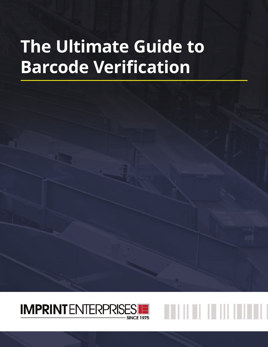# **The Ultimate Guide to Barcode Verification**

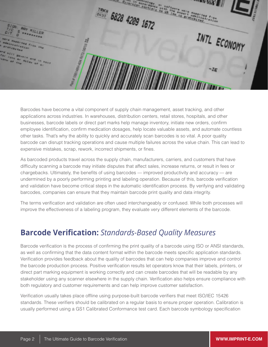

Barcodes have become a vital component of supply chain management, asset tracking, and other applications across industries. In warehouses, distribution centers, retail stores, hospitals, and other businesses, barcode labels or direct part marks help manage inventory, initiate new orders, confirm employee identification, confirm medication dosages, help locate valuable assets, and automate countless other tasks. That's why the ability to quickly and accurately scan barcodes is so vital. A poor quality barcode can disrupt tracking operations and cause multiple failures across the value chain. This can lead to expensive mistakes, scrap, rework, incorrect shipments, or fines.

As barcoded products travel across the supply chain, manufacturers, carriers, and customers that have difficulty scanning a barcode may initiate disputes that affect sales, increase returns, or result in fees or chargebacks. Ultimately, the benefits of using barcodes — improved productivity and accuracy — are undermined by a poorly performing printing and labeling operation. Because of this, barcode verification and validation have become critical steps in the automatic identification process. By verifying and validating barcodes, companies can ensure that they maintain barcode print quality and data integrity.

The terms verification and validation are often used interchangeably or confused. While both processes will improve the effectiveness of a labeling program, they evaluate very different elements of the barcode.

# **Barcode Verification:** *Standards-Based Quality Measures*

Barcode verification is the process of confirming the print quality of a barcode using ISO or ANSI standards, as well as confirming that the data content format within the barcode meets specific application standards. Verification provides feedback about the quality of barcodes that can help companies improve and control the barcode production process. Positive verification results let operators know that their labels, printers, or direct part marking equipment is working correctly and can create barcodes that will be readable by any stakeholder using any scanner elsewhere in the supply chain. Verification also helps ensure compliance with both regulatory and customer requirements and can help improve customer satisfaction.

Verification usually takes place offline using purpose-built barcode verifiers that meet ISO/IEC 15426 standards. These verifiers should be calibrated on a regular basis to ensure proper operation. Calibration is usually performed using a GS1 Calibrated Conformance test card. Each barcode symbology specification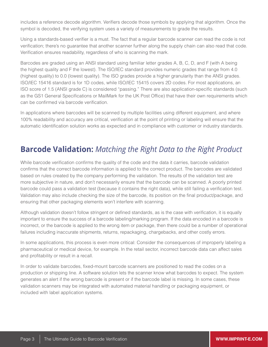includes a reference decode algorithm. Verifiers decode those symbols by applying that algorithm. Once the symbol is decoded, the verifying system uses a variety of measurements to grade the results.

Using a standards-based verifier is a must. The fact that a regular barcode scanner can read the code is not verification; there's no guarantee that another scanner further along the supply chain can also read that code. Verification ensures readability, regardless of who is scanning the mark.

Barcodes are graded using an ANSI standard using familiar letter grades A, B, C, D, and F (with A being the highest quality and F the lowest). The ISO/IEC standard provides numeric grades that range from 4.0 (highest quality) to 0.0 (lowest quality). The ISO grades provide a higher granularity than the ANSI grades. ISO/IEC 15416 standard is for 1D codes, while ISO/IEC 15415 covers 2D codes. For most applications, an ISO score of 1.5 (ANSI grade C) is considered "passing." There are also application-specific standards (such as the GS1 General Specifications or MailMark for the UK Post Office) that have their own requirements which can be confirmed via barcode verification.

In applications where barcodes will be scanned by multiple facilities using different equipment, and where 100% readability and accuracy are critical, verification at the point of printing or labeling will ensure that the automatic identification solution works as expected and in compliance with customer or industry standards.

## **Barcode Validation:** *Matching the Right Data to the Right Product*

While barcode verification confirms the quality of the code and the data it carries, barcode validation confirms that the correct barcode information is applied to the correct product. The barcodes are validated based on rules created by the company performing the validation. The results of the validation test are more subjective in nature, and don't necessarily ensure that the barcode can be scanned. A poorly printed barcode could pass a validation test (because it contains the right data), while still failing a verification test. Validation may also include checking the size of the barcode, its position on the final product/package, and ensuring that other packaging elements won't interfere with scanning.

Although validation doesn't follow stringent or defined standards, as is the case with verification, it is equally important to ensure the success of a barcode labeling/marking program. If the data encoded in a barcode is incorrect, or the barcode is applied to the wrong item or package, then there could be a number of operational failures including inaccurate shipments, returns, repackaging, chargebacks, and other costly errors.

In some applications, this process is even more critical: Consider the consequences of improperly labeling a pharmaceutical or medical device, for example. In the retail sector, incorrect barcode data can affect sales and profitability or result in a recall.

In order to validate barcodes, fixed-mount barcode scanners are positioned to read the codes on a production or shipping line. A software solution lets the scanner know what barcodes to expect. The system generates an alert if the wrong barcode is present or if the barcode label is missing. In some cases, these validation scanners may be integrated with automated material handling or packaging equipment, or included with label application systems.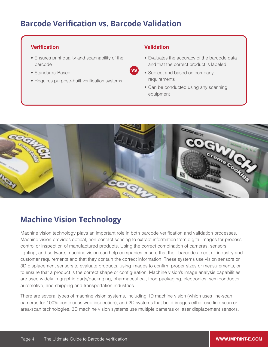## **Barcode Verification vs. Barcode Validation**

#### **Verification**

- Ensures print quality and scannability of the barcode
- Standards-Based
- Requires purpose-built verification systems

#### **Validation**

- Evaluates the accuracy of the barcode data and that the correct product is labeled
- Subject and based on company requirements
- Can be conducted using any scanning equipment



**vs**

# **Machine Vision Technology**

Machine vision technology plays an important role in both barcode verification and validation processes. Machine vision provides optical, non-contact sensing to extract information from digital images for process control or inspection of manufactured products. Using the correct combination of cameras, sensors, lighting, and software, machine vision can help companies ensure that their barcodes meet all industry and customer requirements and that they contain the correct information. These systems use vision sensors or 3D displacement sensors to evaluate products, using images to confirm proper sizes or measurements, or to ensure that a product is the correct shape or configuration. Machine vision's image analysis capabilities are used widely in graphic parts/packaging, pharmaceutical, food packaging, electronics, semiconductor, automotive, and shipping and transportation industries.

There are several types of machine vision systems, including 1D machine vision (which uses line-scan cameras for 100% continuous web inspection), and 2D systems that build images either use line-scan or area-scan technologies. 3D machine vision systems use multiple cameras or laser displacement sensors.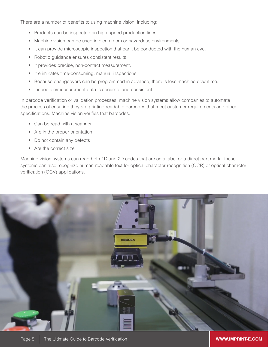There are a number of benefits to using machine vision, including:

- Products can be inspected on high-speed production lines.
- Machine vision can be used in clean room or hazardous environments.
- It can provide microscopic inspection that can't be conducted with the human eye.
- Robotic guidance ensures consistent results.
- It provides precise, non-contact measurement.
- It eliminates time-consuming, manual inspections.
- Because changeovers can be programmed in advance, there is less machine downtime.
- Inspection/measurement data is accurate and consistent.

In barcode verification or validation processes, machine vision systems allow companies to automate the process of ensuring they are printing readable barcodes that meet customer requirements and other specifications. Machine vision verifies that barcodes:

- Can be read with a scanner
- Are in the proper orientation
- Do not contain any defects
- Are the correct size

Machine vision systems can read both 1D and 2D codes that are on a label or a direct part mark. These systems can also recognize human-readable text for optical character recognition (OCR) or optical character verification (OCV) applications.